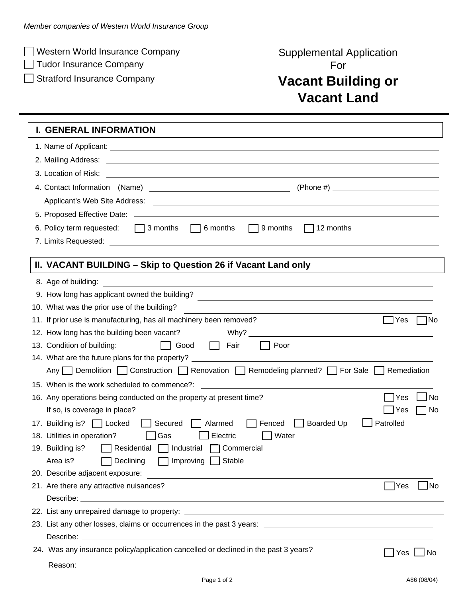□ Western World Insurance Company Number 2008 Supplemental Application

□ Tudor Insurance Company For

## □ Stratford Insurance Company **Vacant Building or Vacant Land**

## **I. GENERAL INFORMATION**

| 3. Location of Risk:                                                                                                                                                                                                                                 |  |  |  |
|------------------------------------------------------------------------------------------------------------------------------------------------------------------------------------------------------------------------------------------------------|--|--|--|
| 4. Contact Information (Name)<br><u> 1990 - Johann Barbara, martin amerikan ba</u>                                                                                                                                                                   |  |  |  |
| Applicant's Web Site Address:<br><u> 1989 - Johann Barn, mars and de Branch Barn, mars and de Branch Barn, mars and de Branch Barn, mars and de Br</u>                                                                                               |  |  |  |
|                                                                                                                                                                                                                                                      |  |  |  |
| 6. Policy term requested: $\Box$ 3 months $\Box$ 6 months $\Box$ 9 months<br>$\Box$ 12 months                                                                                                                                                        |  |  |  |
| 7. Limits Requested:                                                                                                                                                                                                                                 |  |  |  |
|                                                                                                                                                                                                                                                      |  |  |  |
| II. VACANT BUILDING – Skip to Question 26 if Vacant Land only                                                                                                                                                                                        |  |  |  |
| 8. Age of building:<br>the control of the control of the control of the control of the control of the control of the control of the control of the control of the control of the control of the control of the control of the control of the control |  |  |  |
| 9. How long has applicant owned the building?<br><u> 1980 - Johann Stoff, Amerikaansk politiker († 1908)</u>                                                                                                                                         |  |  |  |
| 10. What was the prior use of the building?                                                                                                                                                                                                          |  |  |  |
| $\Box$ Yes<br>11. If prior use is manufacturing, has all machinery been removed?<br> No                                                                                                                                                              |  |  |  |
| 12. How long has the building been vacant? Why? ___________                                                                                                                                                                                          |  |  |  |
| Poor<br>13. Condition of building:<br>Good <b>Fair</b>                                                                                                                                                                                               |  |  |  |
| 14. What are the future plans for the property?                                                                                                                                                                                                      |  |  |  |
| Any Demolition Construction Renovation Remodeling planned? C For Sale L Remediation                                                                                                                                                                  |  |  |  |
| 15. When is the work scheduled to commence?: ___________________________________                                                                                                                                                                     |  |  |  |
| No<br>16. Any operations being conducted on the property at present time?<br><b>Yes</b>                                                                                                                                                              |  |  |  |
| 1 No<br>If so, is coverage in place?<br>Yes                                                                                                                                                                                                          |  |  |  |
| Patrolled<br>17. Building is?   Locked<br>Boarded Up<br>Secured<br>Alarmed<br>Fenced                                                                                                                                                                 |  |  |  |
| 18. Utilities in operation?<br>Electric<br>Water<br>Gas                                                                                                                                                                                              |  |  |  |
| 19. Building is?<br>Residential<br>$\Box$ Industrial<br>$\Box$ Commercial                                                                                                                                                                            |  |  |  |
| Area is?<br>Declining<br>Improving $\Box$ Stable                                                                                                                                                                                                     |  |  |  |
| 20. Describe adjacent exposure:                                                                                                                                                                                                                      |  |  |  |
| 21. Are there any attractive nuisances?<br>]No<br>Yes                                                                                                                                                                                                |  |  |  |
|                                                                                                                                                                                                                                                      |  |  |  |
|                                                                                                                                                                                                                                                      |  |  |  |
|                                                                                                                                                                                                                                                      |  |  |  |
|                                                                                                                                                                                                                                                      |  |  |  |
| 24. Was any insurance policy/application cancelled or declined in the past 3 years?<br>Yes<br>No                                                                                                                                                     |  |  |  |
| Reason:                                                                                                                                                                                                                                              |  |  |  |
| Page 1 of 2<br>A86 (08/04)                                                                                                                                                                                                                           |  |  |  |